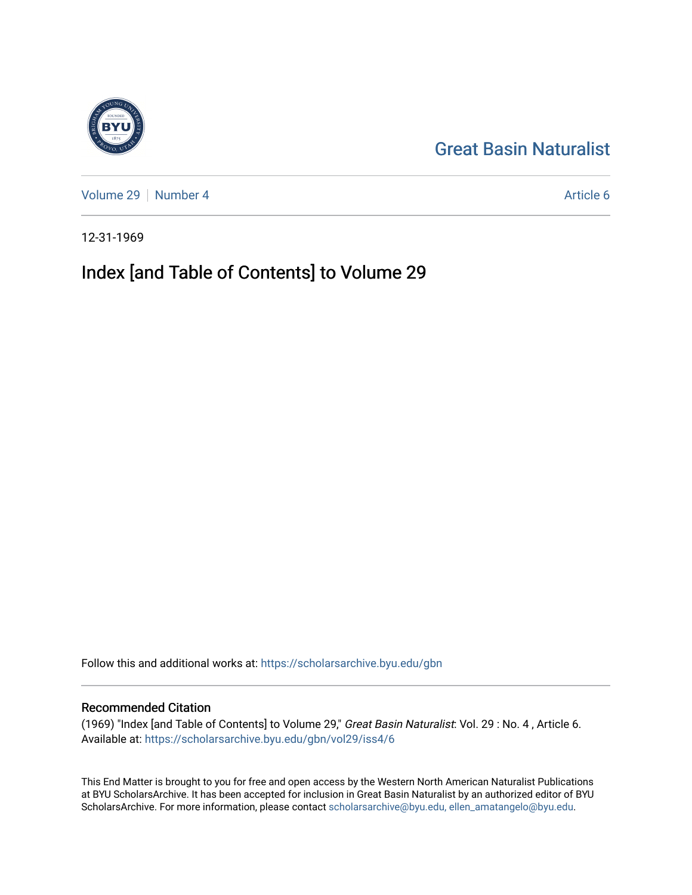## [Great Basin Naturalist](https://scholarsarchive.byu.edu/gbn)

[Volume 29](https://scholarsarchive.byu.edu/gbn/vol29) [Number 4](https://scholarsarchive.byu.edu/gbn/vol29/iss4) Article 6

12-31-1969

## Index [and Table of Contents] to Volume 29

Follow this and additional works at: [https://scholarsarchive.byu.edu/gbn](https://scholarsarchive.byu.edu/gbn?utm_source=scholarsarchive.byu.edu%2Fgbn%2Fvol29%2Fiss4%2F6&utm_medium=PDF&utm_campaign=PDFCoverPages) 

#### Recommended Citation

(1969) "Index [and Table of Contents] to Volume 29," Great Basin Naturalist: Vol. 29 : No. 4 , Article 6. Available at: [https://scholarsarchive.byu.edu/gbn/vol29/iss4/6](https://scholarsarchive.byu.edu/gbn/vol29/iss4/6?utm_source=scholarsarchive.byu.edu%2Fgbn%2Fvol29%2Fiss4%2F6&utm_medium=PDF&utm_campaign=PDFCoverPages)

This End Matter is brought to you for free and open access by the Western North American Naturalist Publications at BYU ScholarsArchive. It has been accepted for inclusion in Great Basin Naturalist by an authorized editor of BYU ScholarsArchive. For more information, please contact [scholarsarchive@byu.edu, ellen\\_amatangelo@byu.edu.](mailto:scholarsarchive@byu.edu,%20ellen_amatangelo@byu.edu)

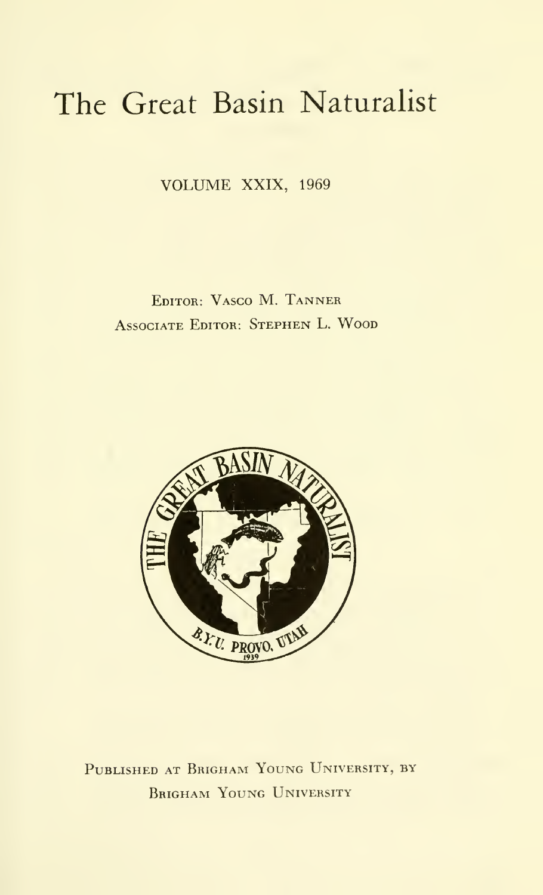# The Great Basin Naturalist

VOLUME XXIX, <sup>1969</sup>

Editor: Vasco M. Tanner Associate Editor: Stephen L. Wood



PUBLISHED AT BRIGHAM YOUNG UNIVERSITY, BY Brigham Young University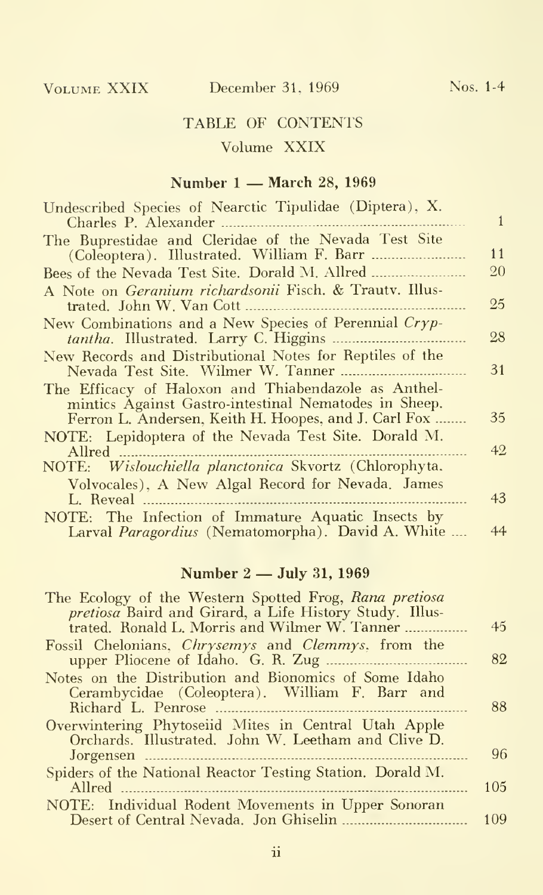### TABLE OF CONTENTS Volume XXIX

#### Number <sup>1</sup> — March 28, <sup>1969</sup>

| Undescribed Species of Nearctic Tipulidae (Diptera), X.                                                                                                               |    |
|-----------------------------------------------------------------------------------------------------------------------------------------------------------------------|----|
| Charles P. Alexander                                                                                                                                                  | 1  |
| The Buprestidae and Cleridae of the Nevada Test Site                                                                                                                  | 11 |
| Bees of the Nevada Test Site. Dorald M. Allred                                                                                                                        | 20 |
| A Note on Geranium richardsonii Fisch. & Trauty. Illus-<br>trated. John W. Van Cott                                                                                   | 25 |
| New Combinations and a New Species of Perennial Cryp-<br>tantha. Illustrated. Larry C. Higgins                                                                        | 28 |
| New Records and Distributional Notes for Reptiles of the<br>Nevada Test Site. Wilmer W. Tanner<br><b>Contractor</b>                                                   | 31 |
| The Efficacy of Haloxon and Thiabendazole as Anthel-<br>mintics Against Gastro-intestinal Nematodes in Sheep.<br>Ferron L. Andersen, Keith H. Hoopes, and J. Carl Fox | 35 |
| NOTE: Lepidoptera of the Nevada Test Site. Dorald M.                                                                                                                  |    |
| Allred<br>NOTE: Wislouchiella planctonica Skvortz (Chlorophyta.                                                                                                       | 42 |
| Volvocales), A New Algal Record for Nevada. James<br>L. Reveal                                                                                                        | 43 |
| NOTE: The Infection of Immature Aquatic Insects by<br>Larval Paragordius (Nematomorpha). David A. White                                                               | 44 |

#### Number <sup>2</sup> — July 31, <sup>1969</sup>

| The Ecology of the Western Spotted Frog, Rana pretiosa                                                      |     |
|-------------------------------------------------------------------------------------------------------------|-----|
| pretiosa Baird and Girard, a Life History Study. Illus-<br>trated. Ronald L. Morris and Wilmer W. Tanner    | 45  |
| Fossil Chelonians, <i>Chrysemys</i> and <i>Clemmys</i> , from the                                           | 82  |
| Notes on the Distribution and Bionomics of Some Idaho<br>Cerambycidae (Coleoptera). William F. Barr and     |     |
|                                                                                                             | 88  |
| Overwintering Phytoseiid Mites in Central Utah Apple<br>Orchards. Illustrated. John W. Leetham and Clive D. |     |
|                                                                                                             | 96  |
| Spiders of the National Reactor Testing Station. Dorald M.                                                  | 105 |
| NOTE: Individual Rodent Movements in Upper Sonoran                                                          |     |
|                                                                                                             | 109 |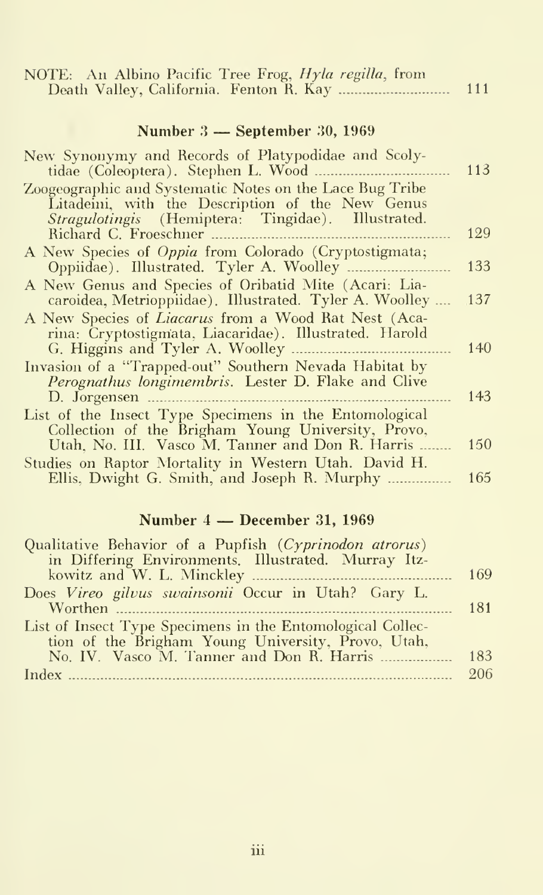| NOTE: An Albino Pacific Tree Frog, <i>Hyla regilla</i> , from<br>Death Valley, California. Fenton R. Kay  111                                                      |     |
|--------------------------------------------------------------------------------------------------------------------------------------------------------------------|-----|
| Number $3$ — September 30, 1969                                                                                                                                    |     |
| New Synonymy and Records of Platypodidae and Scoly-<br>tidae (Coleoptera). Stephen L. Wood.                                                                        | 113 |
| Zoogeographic and Systematic Notes on the Lace Bug Tribe<br>Litadeini, with the Description of the New Genus<br>Stragulotingis (Hemiptera: Tingidae). Illustrated. |     |
| Richard C. Froeschner                                                                                                                                              | 129 |
| A New Species of <i>Oppia</i> from Colorado (Cryptostigmata;                                                                                                       | 133 |
| A New Genus and Species of Oribatid Mite (Acari: Lia-<br>caroidea, Metrioppiidae). Illustrated. Tyler A. Woolley                                                   | 137 |
| A New Species of <i>Liacarus</i> from a Wood Rat Nest (Aca-<br>rina: Cryptostigmata, Liacaridae). Illustrated. Harold                                              |     |
| Invasion of a "Trapped-out" Southern Nevada Habitat by                                                                                                             | 140 |
| Perognathus longimembris. Lester D. Flake and Clive<br>D. Jorgensen                                                                                                | 143 |
| List of the Insect Type Specimens in the Entomological<br>Collection of the Brigham Young University, Provo,                                                       |     |
| Utah, No. III. Vasco M. Tanner and Don R. Harris                                                                                                                   | 150 |
| Studies on Raptor Mortality in Western Utah. David H.<br>Ellis, Dwight G. Smith, and Joseph R. Murphy                                                              | 165 |

## Number <sup>4</sup> — December 31, <sup>1969</sup>

| Qualitative Behavior of a Pupfish (Cyprinodon atrorus)     |     |
|------------------------------------------------------------|-----|
| in Differing Environments. Illustrated. Murray Itz-        |     |
|                                                            |     |
| Does Vireo gilvus swainsonii Occur in Utah? Gary L.        |     |
| Worthen Matthews 2014                                      | 181 |
| List of Insect Type Specimens in the Entomological Collec- |     |
| tion of the Brigham Young University, Provo, Utah,         |     |
|                                                            | 183 |
|                                                            | 206 |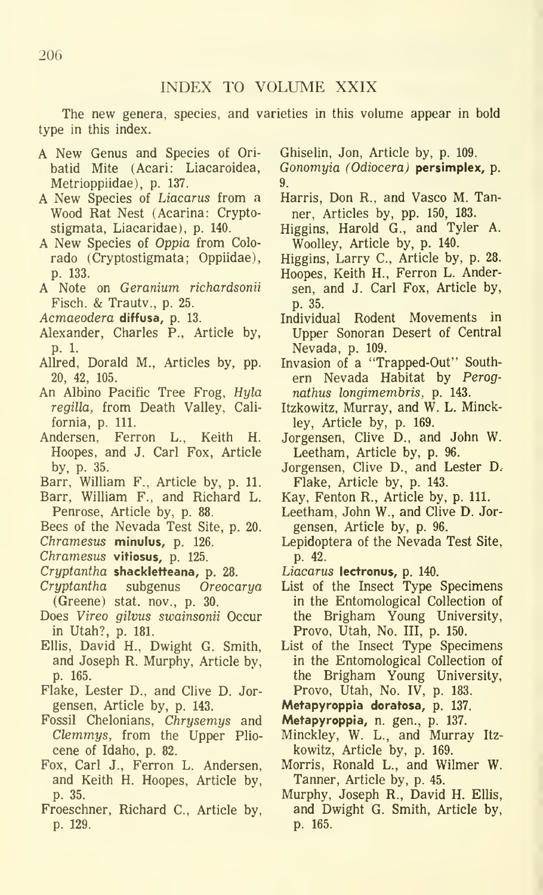The new genera, species, and varieties in this volume appear in bold type in this index.

- A New Genus and Species of Ori batid Mite (Acari: Liacaroidea, Metrioppiidae), p. 137.
- A New Species of Liacarus from <sup>a</sup> Wood Rat Nest (Acarina: Cryptostigmata, Liacaridae), p. 140.
- A New Species of Oppia from Colo rado (Cryptostigmata; Oppiidae), p. 133.
- A Note on Geranium richardsonii Fisch. & Trautv., p. 25.
- Acmaeodera diffusa, p. 13.
- Alexander, Charles P., Article by, p. 1.
- AUred, Dorald M., Articles by, pp. 20, 42, 105.
- An Albino Pacific Tree Frog, Hyla regilla, from Death Valley, Cali fornia, p. 111.
- Andersen, Ferron L., Keith H. Hoopes, and J. Carl Fox, Article by, p. 35.
- Barr, WiUiam F., Article by, p. 11.
- Barr, William F., and Richard L. Penrose, Article by, p. 88.
- Bees of the Nevada Test Site, p. 20.
- Chramesus minulus, p. 126.
- Chramesus vitiosus, p. 125.
- Cryptantha shackletteana, p. 28.
- Cryptantha subgenus Oreocarya (Greene) stat. nov., p. 30.
- Does Vireo gilvus swainsonii Occur in Utah?, p. 181.
- Ellis, David H., Dwight G. Smith, and Joseph R. Murphy, Article by, p. 165.
- Flake, Lester D., and Clive D. Jor gensen, Article by, p. 143.
- Fossil Chelonians, Chrysemys and Clemmys, from the Upper Plio cene of Idaho, p. 82.
- Fox, Carl J., Ferron L. Andersen, and Keith H. Hoopes, Article by, p. 35.
- Froeschner, Richard C, Article by, p. 129.

Ghiselin, Jon, Article by, p. 109.

- Gonomyia (Odiocera) persimplex, p. 9.
- Harris, Don R., and Vasco M. Tanner, Articles by, pp. 150, 183.
- Higgins, Harold G., and Tyler A. Woolley, Article by, p. 140.
- Higgins, Larry C, Article by, p. 28.
- Hoopes, Keith H., Ferron L. Andersen, and J. Carl Fox, Article by, p. 35.
- Individual Rodent Movements in Upper Sonoran Desert of Central Nevada, p. 109.
- Invasion of a "Trapped-Out" South ern Nevada Habitat by Perognathus longimembris, p. 143.
- Itzkowitz, Murray, and W. L. Minckley, Article by, p. 169.
- Jorgensen, Clive D., and John W. Leetham, Article by, p. 96.
- Jorgensen, Clive D., and Lester D. Flake, Article by, p. 143.
- Kay, Fenton R., Article by, p. 111.
- Leetham, John W., and Clive D. Jor gensen, Article by, p. 96.
- Lepidoptera of the Nevada Test Site, p. 42.
- Liacarus lectronus, p. 140.
- List of the Insect Type Specimens in the Entomological Collection of the Brigham Young University, Provo, Utah, No. Ill, p. 150.
- List of the Insect Type Specimens in the Entomological Collection of the Brigham Young University, Provo, Utah, No. IV, p. 183.
- Metapyroppia doratosa, p. 137.
- Metapyroppia, n. gen., p. 137.
- Minckley, W. L., and Murray Itz kowitz, Article by, p. 169.
- Morris, Ronald L., and Wilmer W. Tanner, Article by, p. 45.
- Murphy, Joseph R., David H. Ellis, and Dwight G. Smith, Article by, p. 165.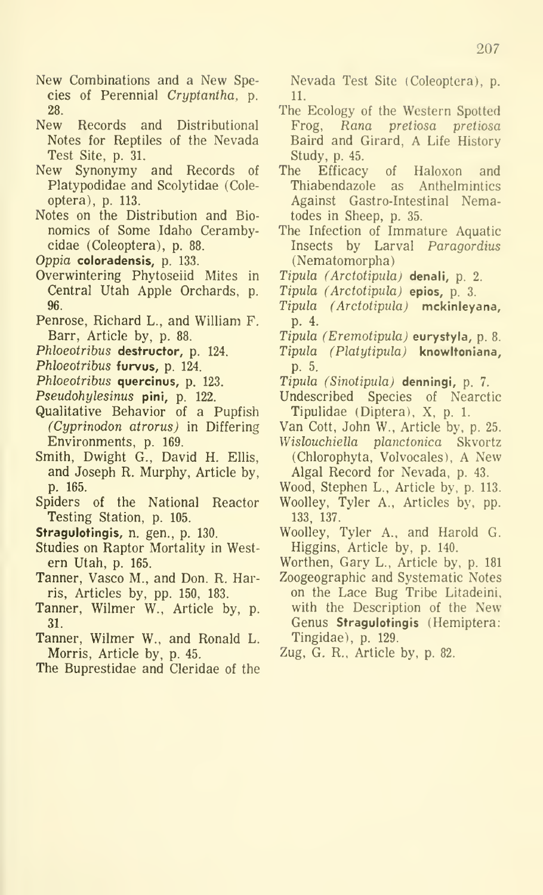- New Combinations and a New Species of Perennial Cryptantha, p. 28.
- New Records and Distributional Notes for Reptiles of the Nevada Test Site, p. 31.
- New Synonymy and Records of Platypodidae and Scolytidae (Coleoptera), p. 113.
- Notes on the Distribution and Bio nomics of Some Idaho Cerambycidae (Coleoptera), p. 88.
- Oppia coloradensis, p. 133.
- Overwintering Phytoseiid Mites in Central Utah Apple Orchards, p. 96.
- Penrose, Richard L., and William F. Barr, Article by, p. 88.
- Phloeotribus destructor, p. 124.
- Phloeotribus furvus, p. 124.
- Phloeotribus quercinus, p. 123.
- Pseudohylesinus pini, p. 122.
- Qualitative Behavior of a Pupfish (Cyprinodon atrorus) in Differing Environments, p. 169.
- Smith, Dwight G., David H. Ellis, and Joseph R. Murphy, Article by, p. 165.
- Spiders of the National Reactor Testing Station, p. 105.
- Stragulotingis, n. gen., p. 130.
- Studies on Raptor Mortality in Western Utah, p. 165.
- Tanner, Vasco M., and Don. R. Harris, Articles by, pp. 150, 183.
- Tanner, Wilmer W., Article by, p. 31.
- Tanner, Wilmer W., and Ronald L. Morris, Article by, p. 45.
- The Buprestidae and Cleridae of the

Nevada Test Site (Coleoptera), p. 11.

- The Ecology of the Western Spotted Frog, Rana pretiosa pretiosa Baird and Girard, A Life History Study, p. 45.
- Efficacy of Haloxon and Thiabendazole as Anthelmintics Against Gastro-Intestinal Nematodes in Sheep, p. 35.
- The Infection of Immature Aquatic Insects by Larval Paragordius (Nematomorpha)
- Tipula (Arctotipula) denali, p. 2.
- Tipula (Arctotipula) epios, p. 3.
- Tipula (Arctotipula) mckinleyana, p. 4.
- Tipula (Eremotipula) eurystyla, p. 8.
- Tipula (Platytipula) knowltoniana, p. 5.
- Tipula (Sinotipulaj denningi, p. 7.
- Undescribed Species of Nearctic Tipulidae (Diptera), X, p. 1.
- Van Cott, John W.. Article by. p. 25.
- Wislouchiella planctonica Skvortz (Chlorophyta, Volvocales), A New Algal Record for Nevada, p. 43.
- Wood, Stephen L., Article by. p. 113.
- Woolley, Tyler A., Articles by, pp. 133, 137.
- Woolley, Tyler A., and Harold G. Higgins, Article by, p. 140.
- Worthen, Gary L., Article by. p. 181
- Zoogeographic and Systematic Notes on the Lace Bug Tribe Litadeini, with the Description of the New Genus Stragulotingis (Hemiptera: Tingidae). p. 129.
- Zug, G. R., Article bv, p. 82.